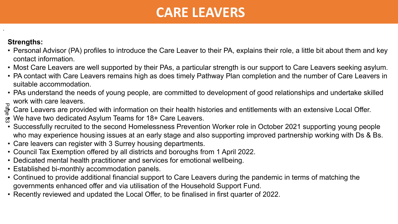## **CARE LEAVERS**

## **Strengths:**

.

- Personal Advisor (PA) profiles to introduce the Care Leaver to their PA, explains their role, a little bit about them and key contact information.
- Most Care Leavers are well supported by their PAs, a particular strength is our support to Care Leavers seeking asylum.
- PA contact with Care Leavers remains high as does timely Pathway Plan completion and the number of Care Leavers in suitable accommodation.
- PAs understand the needs of young people, are committed to development of good relationships and undertake skilled work with care leavers.
- Care Leavers are provided with information on their health histories and entitlements with an extensive Local Offer. **Age**
- We have two dedicated Asylum Teams for 18+ Care Leavers.
- Successfully recruited to the second Homelessness Prevention Worker role in October 2021 supporting young people who may experience housing issues at an early stage and also supporting improved partnership working with Ds & Bs.
- Care leavers can register with 3 Surrey housing departments.
- Council Tax Exemption offered by all districts and boroughs from 1 April 2022.
- Dedicated mental health practitioner and services for emotional wellbeing.
- Established bi-monthly accommodation panels.
- Continued to provide additional financial support to Care Leavers during the pandemic in terms of matching the governments enhanced offer and via utilisation of the Household Support Fund.
- Recently reviewed and updated the Local Offer, to be finalised in first quarter of 2022.